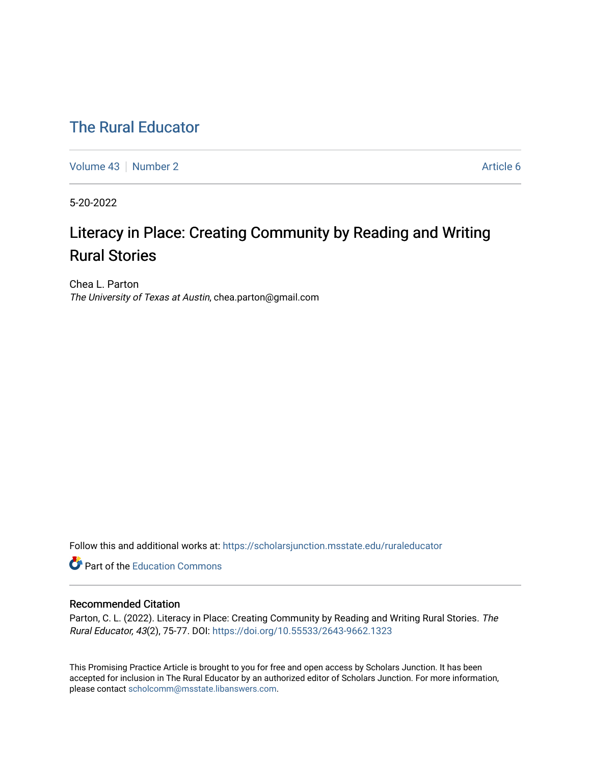# [The Rural Educator](https://scholarsjunction.msstate.edu/ruraleducator)

[Volume 43](https://scholarsjunction.msstate.edu/ruraleducator/vol43) [Number 2](https://scholarsjunction.msstate.edu/ruraleducator/vol43/iss2) Article 6

5-20-2022

# Literacy in Place: Creating Community by Reading and Writing Rural Stories

Chea L. Parton The University of Texas at Austin, chea.parton@gmail.com

Follow this and additional works at: [https://scholarsjunction.msstate.edu/ruraleducator](https://scholarsjunction.msstate.edu/ruraleducator?utm_source=scholarsjunction.msstate.edu%2Fruraleducator%2Fvol43%2Fiss2%2F6&utm_medium=PDF&utm_campaign=PDFCoverPages)

**C** Part of the [Education Commons](https://network.bepress.com/hgg/discipline/784?utm_source=scholarsjunction.msstate.edu%2Fruraleducator%2Fvol43%2Fiss2%2F6&utm_medium=PDF&utm_campaign=PDFCoverPages)

### Recommended Citation

Parton, C. L. (2022). Literacy in Place: Creating Community by Reading and Writing Rural Stories. The Rural Educator, 43(2), 75-77. DOI:<https://doi.org/10.55533/2643-9662.1323>

This Promising Practice Article is brought to you for free and open access by Scholars Junction. It has been accepted for inclusion in The Rural Educator by an authorized editor of Scholars Junction. For more information, please contact [scholcomm@msstate.libanswers.com.](mailto:scholcomm@msstate.libanswers.com)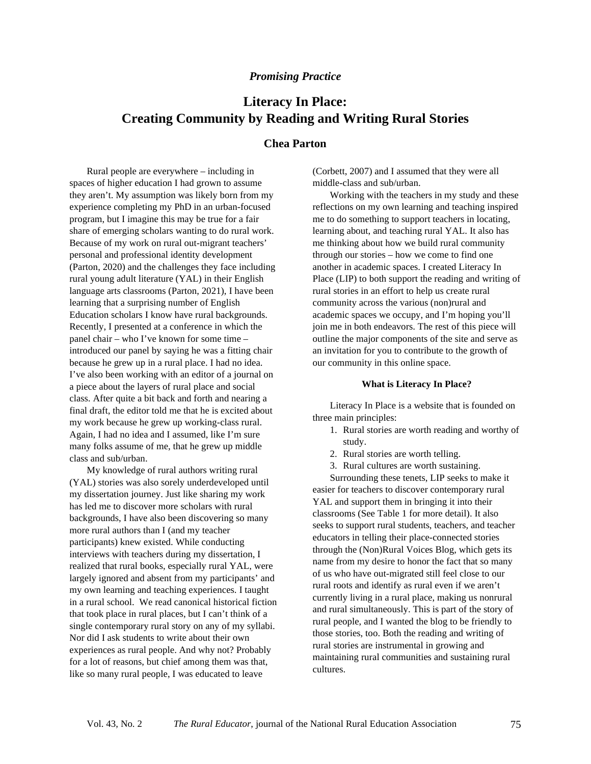#### *Promising Practice*

## **Literacy In Place: Creating Community by Reading and Writing Rural Stories**

## **Chea Parton**

Rural people are everywhere – including in spaces of higher education I had grown to assume they aren't. My assumption was likely born from my experience completing my PhD in an urban-focused program, but I imagine this may be true for a fair share of emerging scholars wanting to do rural work. Because of my work on rural out-migrant teachers' personal and professional identity development (Parton, 2020) and the challenges they face including rural young adult literature (YAL) in their English language arts classrooms (Parton, 2021), I have been learning that a surprising number of English Education scholars I know have rural backgrounds. Recently, I presented at a conference in which the panel chair – who I've known for some time – introduced our panel by saying he was a fitting chair because he grew up in a rural place. I had no idea. I've also been working with an editor of a journal on a piece about the layers of rural place and social class. After quite a bit back and forth and nearing a final draft, the editor told me that he is excited about my work because he grew up working-class rural. Again, I had no idea and I assumed, like I'm sure many folks assume of me, that he grew up middle class and sub/urban.

My knowledge of rural authors writing rural (YAL) stories was also sorely underdeveloped until my dissertation journey. Just like sharing my work has led me to discover more scholars with rural backgrounds, I have also been discovering so many more rural authors than I (and my teacher participants) knew existed. While conducting interviews with teachers during my dissertation, I realized that rural books, especially rural YAL, were largely ignored and absent from my participants' and my own learning and teaching experiences. I taught in a rural school. We read canonical historical fiction that took place in rural places, but I can't think of a single contemporary rural story on any of my syllabi. Nor did I ask students to write about their own experiences as rural people. And why not? Probably for a lot of reasons, but chief among them was that, like so many rural people, I was educated to leave

(Corbett, 2007) and I assumed that they were all middle-class and sub/urban.

Working with the teachers in my study and these reflections on my own learning and teaching inspired me to do something to support teachers in locating, learning about, and teaching rural YAL. It also has me thinking about how we build rural community through our stories – how we come to find one another in academic spaces. I created Literacy In Place (LIP) to both support the reading and writing of rural stories in an effort to help us create rural community across the various (non)rural and academic spaces we occupy, and I'm hoping you'll join me in both endeavors. The rest of this piece will outline the major components of the site and serve as an invitation for you to contribute to the growth of our community in this online space.

#### **What is Literacy In Place?**

Literacy In Place is a website that is founded on three main principles:

- 1. Rural stories are worth reading and worthy of study.
- 2. Rural stories are worth telling.
- 3. Rural cultures are worth sustaining.

Surrounding these tenets, LIP seeks to make it easier for teachers to discover contemporary rural YAL and support them in bringing it into their classrooms (See Table 1 for more detail). It also seeks to support rural students, teachers, and teacher educators in telling their place-connected stories through the (Non)Rural Voices Blog, which gets its name from my desire to honor the fact that so many of us who have out-migrated still feel close to our rural roots and identify as rural even if we aren't currently living in a rural place, making us nonrural and rural simultaneously. This is part of the story of rural people, and I wanted the blog to be friendly to those stories, too. Both the reading and writing of rural stories are instrumental in growing and maintaining rural communities and sustaining rural cultures.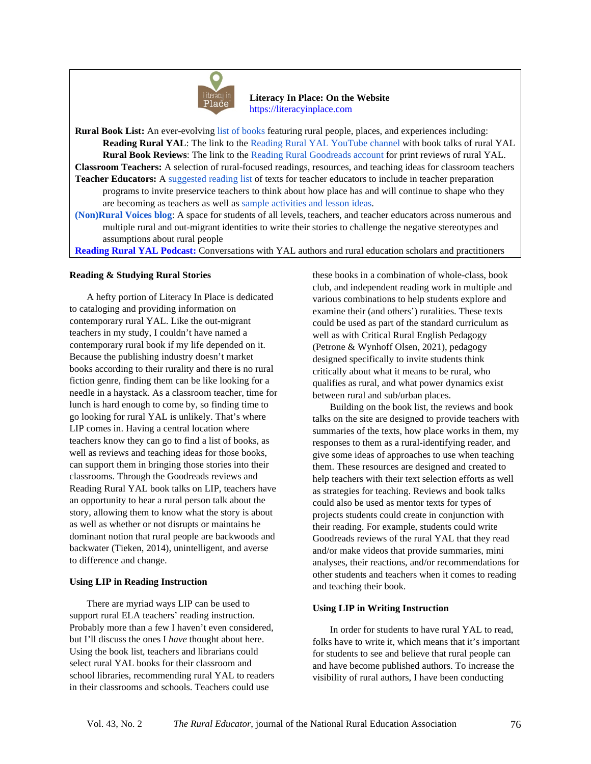

 **Literacy In Place: On the Website** [https://literacyinplace.com](https://literacyinplace.com/)

**Rural Book List:** An ever-evolving [list of books](https://literacyinplace.com/book-list/) featuring rural people, places, and experiences including: **Reading Rural YAL**: The link to the [Reading Rural YAL YouTube channel](https://literacyinplace.com/book-list/) with book talks of rural YAL **Rural Book Reviews**: The link to the [Reading Rural Goodreads account](https://www.goodreads.com/review/list/133540082-reading-rural?ref=nav_mybooks&shelf=read) for print reviews of rural YAL. **Classroom Teachers:** A selection of rural-focused readings, resources, and teaching ideas for classroom teachers **Teacher Educators:** [A suggested reading list](https://literacyinplace.com/annotated-bibliography/) of texts for teacher educators to include in teacher preparation programs to invite preservice teachers to think about how place has and will continue to shape who they are becoming as teachers as well a[s sample activities and lesson ideas.](https://literacyinplace.com/lessons-activities/)

**[\(Non\)Rural Voices blog](https://literacyinplace.com/nonrural-voices-blog/)**: A space for students of all levels, teachers, and teacher educators across numerous and multiple rural and out-migrant identities to write their stories to challenge the negative stereotypes and assumptions about rural people

**[Reading Rural YAL Podcast:](https://literacyinplace.com/category/reading-rural-yal-podcast/)** Conversations with YAL authors and rural education scholars and practitioners

#### **Reading & Studying Rural Stories**

A hefty portion of Literacy In Place is dedicated to cataloging and providing information on contemporary rural YAL. Like the out-migrant teachers in my study, I couldn't have named a contemporary rural book if my life depended on it. Because the publishing industry doesn't market books according to their rurality and there is no rural fiction genre, finding them can be like looking for a needle in a haystack. As a classroom teacher, time for lunch is hard enough to come by, so finding time to go looking for rural YAL is unlikely. That's where LIP comes in. Having a central location where teachers know they can go to find a list of books, as well as reviews and teaching ideas for those books, can support them in bringing those stories into their classrooms. Through the Goodreads reviews and Reading Rural YAL book talks on LIP, teachers have an opportunity to hear a rural person talk about the story, allowing them to know what the story is about as well as whether or not disrupts or maintains he dominant notion that rural people are backwoods and backwater (Tieken, 2014), unintelligent, and averse to difference and change.

#### **Using LIP in Reading Instruction**

There are myriad ways LIP can be used to support rural ELA teachers' reading instruction. Probably more than a few I haven't even considered, but I'll discuss the ones I *have* thought about here. Using the book list, teachers and librarians could select rural YAL books for their classroom and school libraries, recommending rural YAL to readers in their classrooms and schools. Teachers could use

these books in a combination of whole-class, book club, and independent reading work in multiple and various combinations to help students explore and examine their (and others') ruralities. These texts could be used as part of the standard curriculum as well as with Critical Rural English Pedagogy (Petrone & Wynhoff Olsen, 2021), pedagogy designed specifically to invite students think critically about what it means to be rural, who qualifies as rural, and what power dynamics exist between rural and sub/urban places.

Building on the book list, the reviews and book talks on the site are designed to provide teachers with summaries of the texts, how place works in them, my responses to them as a rural-identifying reader, and give some ideas of approaches to use when teaching them. These resources are designed and created to help teachers with their text selection efforts as well as strategies for teaching. Reviews and book talks could also be used as mentor texts for types of projects students could create in conjunction with their reading. For example, students could write Goodreads reviews of the rural YAL that they read and/or make videos that provide summaries, mini analyses, their reactions, and/or recommendations for other students and teachers when it comes to reading and teaching their book.

#### **Using LIP in Writing Instruction**

In order for students to have rural YAL to read, folks have to write it, which means that it's important for students to see and believe that rural people can and have become published authors. To increase the visibility of rural authors, I have been conducting